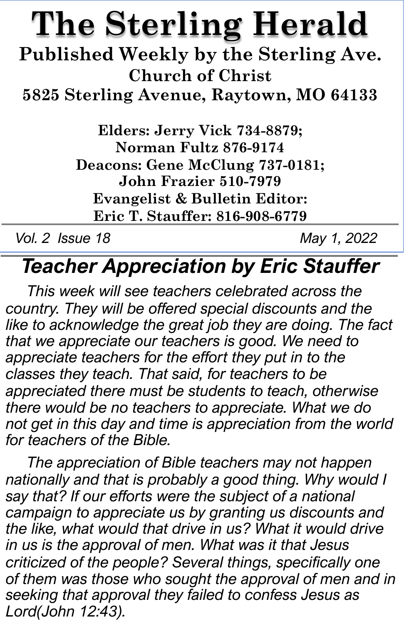# **The Sterling Herald**

**Published Weekly by the Sterling Ave. Church of Christ**

**5825 Sterling Avenue, Raytown, MO 64133**

**Elders: Jerry Vick 734-8879; Norman Fultz 876-9174 Deacons: Gene McClung 737-0181; John Frazier 510-7979 Evangelist & Bulletin Editor: Eric T. Stauffer: 816-908-6779**

*Vol. 2 Issue 18 May 1, 2022*

## *Teacher Appreciation by Eric Stauffer*

*This week will see teachers celebrated across the country. They will be offered special discounts and the like to acknowledge the great job they are doing. The fact that we appreciate our teachers is good. We need to appreciate teachers for the effort they put in to the classes they teach. That said, for teachers to be appreciated there must be students to teach, otherwise there would be no teachers to appreciate. What we do not get in this day and time is appreciation from the world for teachers of the Bible.* 

*The appreciation of Bible teachers may not happen nationally and that is probably a good thing. Why would I say that? If our efforts were the subject of a national campaign to appreciate us by granting us discounts and the like, what would that drive in us? What it would drive in us is the approval of men. What was it that Jesus criticized of the people? Several things, specifically one of them was those who sought the approval of men and in seeking that approval they failed to confess Jesus as Lord(John 12:43).*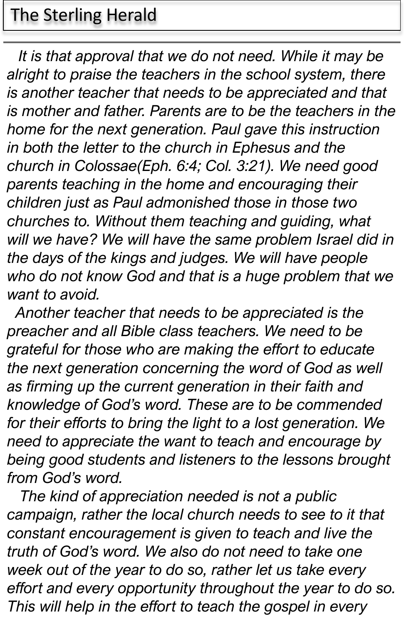#### The Sterling Herald

*It is that approval that we do not need. While it may be alright to praise the teachers in the school system, there is another teacher that needs to be appreciated and that is mother and father. Parents are to be the teachers in the home for the next generation. Paul gave this instruction in both the letter to the church in Ephesus and the church in Colossae(Eph. 6:4; Col. 3:21). We need good parents teaching in the home and encouraging their children just as Paul admonished those in those two churches to. Without them teaching and guiding, what will we have? We will have the same problem Israel did in the days of the kings and judges. We will have people who do not know God and that is a huge problem that we want to avoid.*

*Another teacher that needs to be appreciated is the preacher and all Bible class teachers. We need to be grateful for those who are making the effort to educate the next generation concerning the word of God as well as firming up the current generation in their faith and knowledge of God's word. These are to be commended for their efforts to bring the light to a lost generation. We need to appreciate the want to teach and encourage by being good students and listeners to the lessons brought from God's word.*

*The kind of appreciation needed is not a public campaign, rather the local church needs to see to it that constant encouragement is given to teach and live the truth of God's word. We also do not need to take one week out of the year to do so, rather let us take every effort and every opportunity throughout the year to do so. This will help in the effort to teach the gospel in every*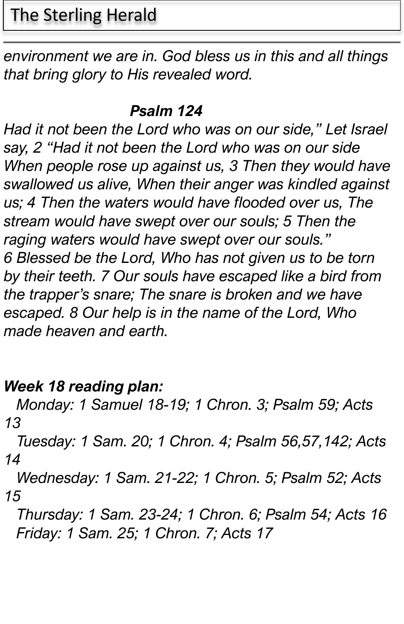### The Sterling Herald

*environment we are in. God bless us in this and all things that bring glory to His revealed word.* 

#### *Psalm 124*

*Had it not been the Lord who was on our side," Let Israel say, 2 "Had it not been the Lord who was on our side When people rose up against us, 3 Then they would have swallowed us alive, When their anger was kindled against us; 4 Then the waters would have flooded over us, The stream would have swept over our souls; 5 Then the raging waters would have swept over our souls." 6 Blessed be the Lord, Who has not given us to be torn by their teeth. 7 Our souls have escaped like a bird from the trapper's snare; The snare is broken and we have escaped. 8 Our help is in the name of the Lord, Who made heaven and earth.*

#### *Week 18 reading plan:*

*Monday: 1 Samuel 18-19; 1 Chron. 3; Psalm 59; Acts 13*

*Tuesday: 1 Sam. 20; 1 Chron. 4; Psalm 56,57,142; Acts 14*

*Wednesday: 1 Sam. 21-22; 1 Chron. 5; Psalm 52; Acts 15*

*Thursday: 1 Sam. 23-24; 1 Chron. 6; Psalm 54; Acts 16 Friday: 1 Sam. 25; 1 Chron. 7; Acts 17*